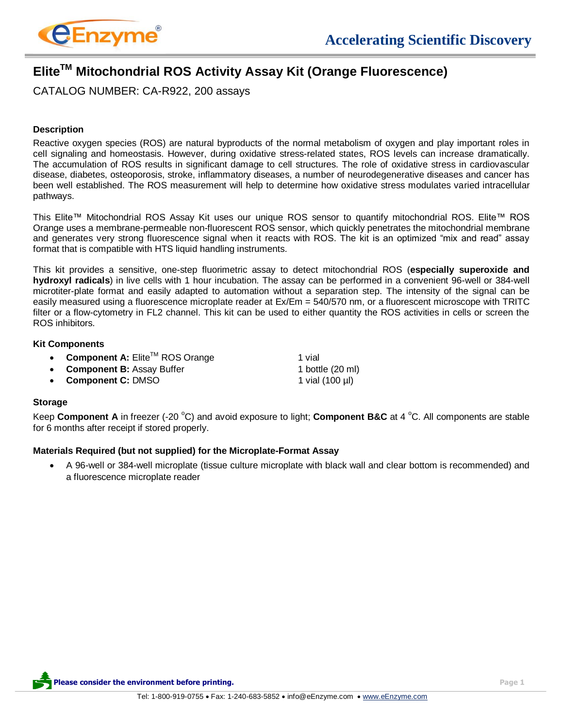

# **EliteTM Mitochondrial ROS Activity Assay Kit (Orange Fluorescence)**

CATALOG NUMBER: CA-R922, 200 assays

## **Description**

Reactive oxygen species (ROS) are natural byproducts of the normal metabolism of oxygen and play important roles in cell signaling and homeostasis. However, during oxidative stress-related states, ROS levels can increase dramatically. The accumulation of ROS results in significant damage to cell structures. The role of oxidative stress in cardiovascular disease, diabetes, osteoporosis, stroke, inflammatory diseases, a number of neurodegenerative diseases and cancer has been well established. The ROS measurement will help to determine how oxidative stress modulates varied intracellular pathways.

This Elite™ Mitochondrial ROS Assay Kit uses our unique ROS sensor to quantify mitochondrial ROS. Elite™ ROS Orange uses a membrane-permeable non-fluorescent ROS sensor, which quickly penetrates the mitochondrial membrane and generates very strong fluorescence signal when it reacts with ROS. The kit is an optimized "mix and read" assay format that is compatible with HTS liquid handling instruments.

This kit provides a sensitive, one-step fluorimetric assay to detect mitochondrial ROS (**especially superoxide and hydroxyl radicals**) in live cells with 1 hour incubation. The assay can be performed in a convenient 96-well or 384-well microtiter-plate format and easily adapted to automation without a separation step. The intensity of the signal can be easily measured using a fluorescence microplate reader at Ex/Em = 540/570 nm, or a fluorescent microscope with TRITC filter or a flow-cytometry in FL2 channel. This kit can be used to either quantity the ROS activities in cells or screen the ROS inhibitors.

#### **Kit Components**

|  | Component A: Elite™ ROS Orange |  | 1 vial |
|--|--------------------------------|--|--------|
|--|--------------------------------|--|--------|

- **Component B:** Assay Buffer 1 bottle (20 ml)
- **Component C:** DMSO 1 vial (100 µl)

## **Storage**

Keep **Component A** in freezer (-20 °C) and avoid exposure to light; **Component B&C** at 4 °C. All components are stable for 6 months after receipt if stored properly.

#### **Materials Required (but not supplied) for the Microplate-Format Assay**

 A 96-well or 384-well microplate (tissue culture microplate with black wall and clear bottom is recommended) and a fluorescence microplate reader

**Please consider the environment before printing. Page 1**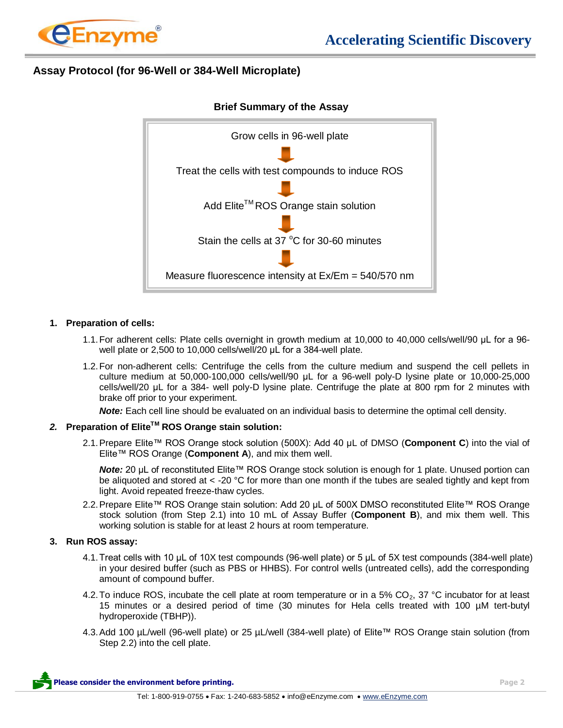

# **Assay Protocol (for 96-Well or 384-Well Microplate)**



## **Brief Summary of the Assay**

#### **1. Preparation of cells:**

- 1.1.For adherent cells: Plate cells overnight in growth medium at 10,000 to 40,000 cells/well/90 μL for a 96 well plate or 2,500 to 10,000 cells/well/20 μL for a 384-well plate.
- 1.2.For non-adherent cells: Centrifuge the cells from the culture medium and suspend the cell pellets in culture medium at 50,000-100,000 cells/well/90 μL for a 96-well poly-D lysine plate or 10,000-25,000 cells/well/20 μL for a 384- well poly-D lysine plate. Centrifuge the plate at 800 rpm for 2 minutes with brake off prior to your experiment.

*Note:* Each cell line should be evaluated on an individual basis to determine the optimal cell density.

## *2.* **Preparation of EliteTM ROS Orange stain solution:**

2.1.Prepare Elite™ ROS Orange stock solution (500X): Add 40 μL of DMSO (**Component C**) into the vial of Elite™ ROS Orange (**Component A**), and mix them well.

**Note:** 20 μL of reconstituted Elite™ ROS Orange stock solution is enough for 1 plate. Unused portion can be aliquoted and stored at  $\lt$  -20 °C for more than one month if the tubes are sealed tightly and kept from light. Avoid repeated freeze-thaw cycles.

2.2. Prepare Elite™ ROS Orange stain solution: Add 20 µL of 500X DMSO reconstituted Elite™ ROS Orange stock solution (from Step 2.1) into 10 mL of Assay Buffer (**Component B**), and mix them well. This working solution is stable for at least 2 hours at room temperature.

## **3. Run ROS assay:**

- 4.1.Treat cells with 10 μL of 10X test compounds (96-well plate) or 5 μL of 5X test compounds (384-well plate) in your desired buffer (such as PBS or HHBS). For control wells (untreated cells), add the corresponding amount of compound buffer.
- 4.2. To induce ROS, incubate the cell plate at room temperature or in a 5%  $CO<sub>2</sub>$ , 37 °C incubator for at least 15 minutes or a desired period of time (30 minutes for Hela cells treated with 100 µM tert-butyl hydroperoxide (TBHP)).
- 4.3.Add 100 µL/well (96-well plate) or 25 µL/well (384-well plate) of Elite™ ROS Orange stain solution (from Step 2.2) into the cell plate.

**Please consider the environment before printing. Page 2 Page 2 Page 2 Page 2**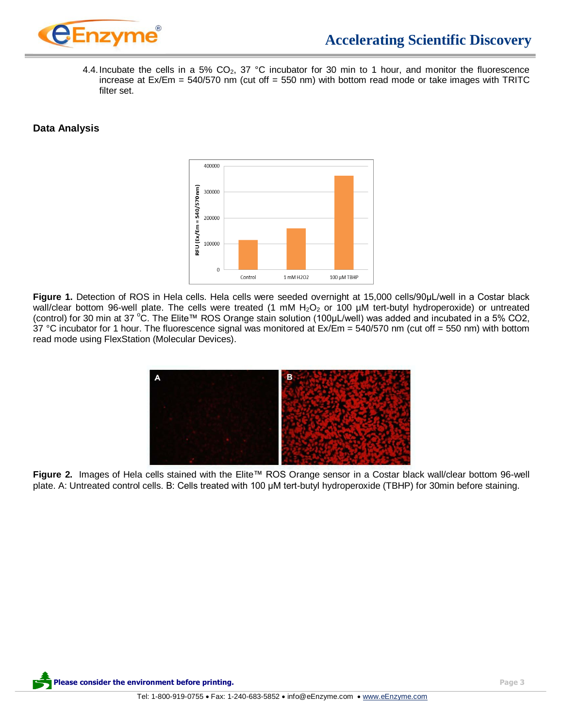

4.4. Incubate the cells in a 5%  $CO<sub>2</sub>$ , 37 °C incubator for 30 min to 1 hour, and monitor the fluorescence increase at  $Ex/Em = 540/570$  nm (cut off = 550 nm) with bottom read mode or take images with TRITC filter set.

# **Data Analysis**



**Figure 1.** Detection of ROS in Hela cells. Hela cells were seeded overnight at 15,000 cells/90μL/well in a Costar black wall/clear bottom 96-well plate. The cells were treated (1 mM  $H_2O_2$  or 100 µM tert-butyl hydroperoxide) or untreated (control) for 30 min at 37 °C. The Elite™ ROS Orange stain solution (100µL/well) was added and incubated in a 5% CO2, 37 °C incubator for 1 hour. The fluorescence signal was monitored at Ex/Em = 540/570 nm (cut off = 550 nm) with bottom read mode using FlexStation (Molecular Devices).



**Figure 2.** Images of Hela cells stained with the Elite™ ROS Orange sensor in a Costar black wall/clear bottom 96-well plate. A: Untreated control cells. B: Cells treated with 100 μM tert-butyl hydroperoxide (TBHP) for 30min before staining.

**Please consider the environment before printing. Page 3**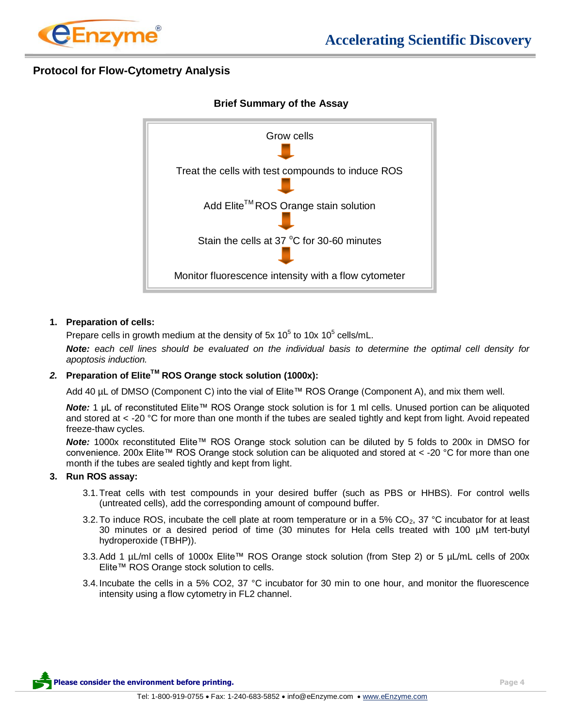

# **Protocol for Flow-Cytometry Analysis**



## **Brief Summary of the Assay**

#### **1. Preparation of cells:**

Prepare cells in growth medium at the density of 5x 10<sup>5</sup> to 10x 10<sup>5</sup> cells/mL.

*Note: each cell lines should be evaluated on the individual basis to determine the optimal cell density for apoptosis induction.*

### *2.* **Preparation of EliteTM ROS Orange stock solution (1000x):**

Add 40 µL of DMSO (Component C) into the vial of Elite™ ROS Orange (Component A), and mix them well.

*Note:* 1 µL of reconstituted Elite™ ROS Orange stock solution is for 1 ml cells. Unused portion can be aliquoted and stored at < -20 °C for more than one month if the tubes are sealed tightly and kept from light. Avoid repeated freeze-thaw cycles.

*Note:* 1000x reconstituted Elite™ ROS Orange stock solution can be diluted by 5 folds to 200x in DMSO for convenience. 200x Elite™ ROS Orange stock solution can be aliquoted and stored at < -20 °C for more than one month if the tubes are sealed tightly and kept from light.

## **3. Run ROS assay:**

- 3.1.Treat cells with test compounds in your desired buffer (such as PBS or HHBS). For control wells (untreated cells), add the corresponding amount of compound buffer.
- 3.2. To induce ROS, incubate the cell plate at room temperature or in a 5% CO<sub>2</sub>, 37 °C incubator for at least 30 minutes or a desired period of time (30 minutes for Hela cells treated with 100 µM tert-butyl hydroperoxide (TBHP)).
- 3.3.Add 1 µL/ml cells of 1000x Elite™ ROS Orange stock solution (from Step 2) or 5 µL/mL cells of 200x Elite™ ROS Orange stock solution to cells.
- 3.4.Incubate the cells in a 5% CO2, 37 °C incubator for 30 min to one hour, and monitor the fluorescence intensity using a flow cytometry in FL2 channel.

**Please consider the environment before printing. Page 4**